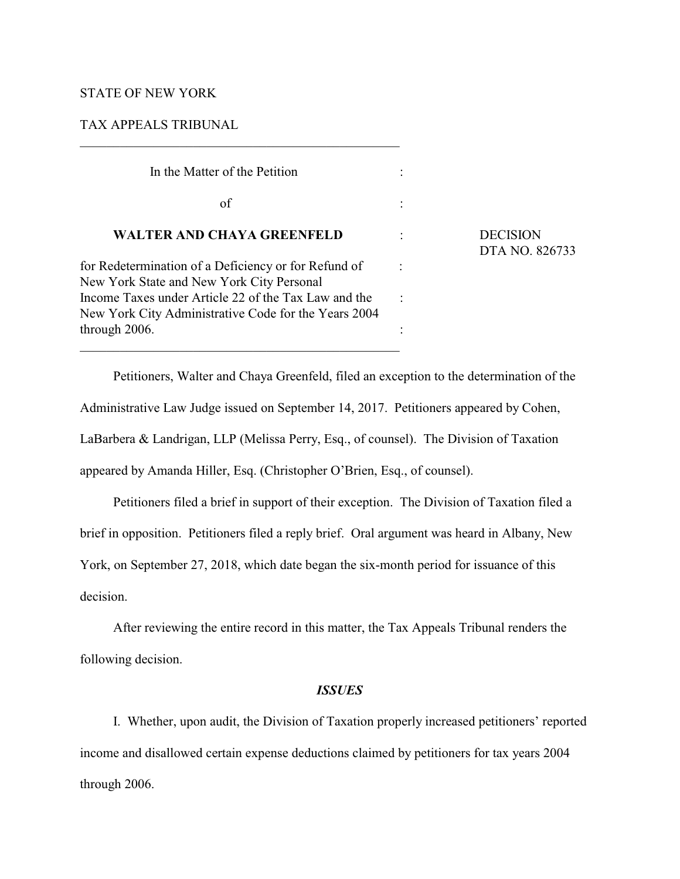# STATE OF NEW YORK

# TAX APPEALS TRIBUNAL

| In the Matter of the Petition                                                                                |                                   |
|--------------------------------------------------------------------------------------------------------------|-----------------------------------|
| of                                                                                                           |                                   |
| <b>WALTER AND CHAYA GREENFELD</b>                                                                            | <b>DECISION</b><br>DTA NO. 826733 |
| for Redetermination of a Deficiency or for Refund of<br>New York State and New York City Personal            |                                   |
| Income Taxes under Article 22 of the Tax Law and the<br>New York City Administrative Code for the Years 2004 |                                   |
| through 2006.                                                                                                |                                   |

 $\mathcal{L}_\mathcal{L} = \{ \mathcal{L}_\mathcal{L} = \{ \mathcal{L}_\mathcal{L} = \{ \mathcal{L}_\mathcal{L} = \{ \mathcal{L}_\mathcal{L} = \{ \mathcal{L}_\mathcal{L} = \{ \mathcal{L}_\mathcal{L} = \{ \mathcal{L}_\mathcal{L} = \{ \mathcal{L}_\mathcal{L} = \{ \mathcal{L}_\mathcal{L} = \{ \mathcal{L}_\mathcal{L} = \{ \mathcal{L}_\mathcal{L} = \{ \mathcal{L}_\mathcal{L} = \{ \mathcal{L}_\mathcal{L} = \{ \mathcal{L}_\mathcal{$ 

Petitioners, Walter and Chaya Greenfeld, filed an exception to the determination of the Administrative Law Judge issued on September 14, 2017. Petitioners appeared by Cohen, LaBarbera & Landrigan, LLP (Melissa Perry, Esq., of counsel). The Division of Taxation appeared by Amanda Hiller, Esq. (Christopher O'Brien, Esq., of counsel).

Petitioners filed a brief in support of their exception. The Division of Taxation filed a brief in opposition. Petitioners filed a reply brief. Oral argument was heard in Albany, New York, on September 27, 2018, which date began the six-month period for issuance of this decision.

After reviewing the entire record in this matter, the Tax Appeals Tribunal renders the following decision.

# *ISSUES*

I. Whether, upon audit, the Division of Taxation properly increased petitioners' reported income and disallowed certain expense deductions claimed by petitioners for tax years 2004 through 2006.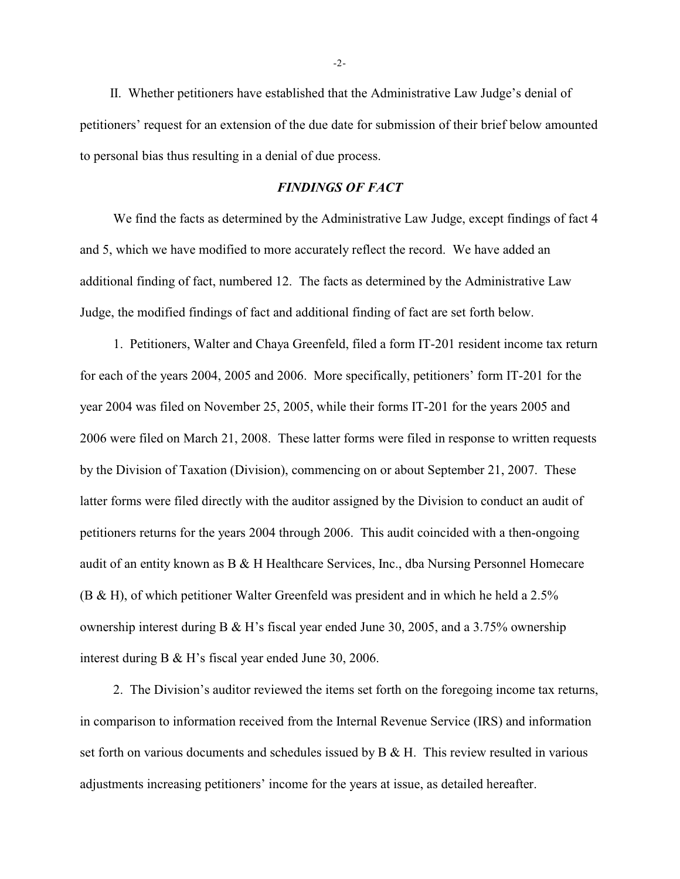II. Whether petitioners have established that the Administrative Law Judge's denial of petitioners' request for an extension of the due date for submission of their brief below amounted to personal bias thus resulting in a denial of due process.

### *FINDINGS OF FACT*

We find the facts as determined by the Administrative Law Judge, except findings of fact 4 and 5, which we have modified to more accurately reflect the record. We have added an additional finding of fact, numbered 12. The facts as determined by the Administrative Law Judge, the modified findings of fact and additional finding of fact are set forth below.

1. Petitioners, Walter and Chaya Greenfeld, filed a form IT-201 resident income tax return for each of the years 2004, 2005 and 2006. More specifically, petitioners' form IT-201 for the year 2004 was filed on November 25, 2005, while their forms IT-201 for the years 2005 and 2006 were filed on March 21, 2008. These latter forms were filed in response to written requests by the Division of Taxation (Division), commencing on or about September 21, 2007. These latter forms were filed directly with the auditor assigned by the Division to conduct an audit of petitioners returns for the years 2004 through 2006. This audit coincided with a then-ongoing audit of an entity known as B & H Healthcare Services, Inc., dba Nursing Personnel Homecare (B & H), of which petitioner Walter Greenfeld was president and in which he held a 2.5% ownership interest during B & H's fiscal year ended June 30, 2005, and a 3.75% ownership interest during B & H's fiscal year ended June 30, 2006.

2. The Division's auditor reviewed the items set forth on the foregoing income tax returns, in comparison to information received from the Internal Revenue Service (IRS) and information set forth on various documents and schedules issued by  $B \& H$ . This review resulted in various adjustments increasing petitioners' income for the years at issue, as detailed hereafter.

-2-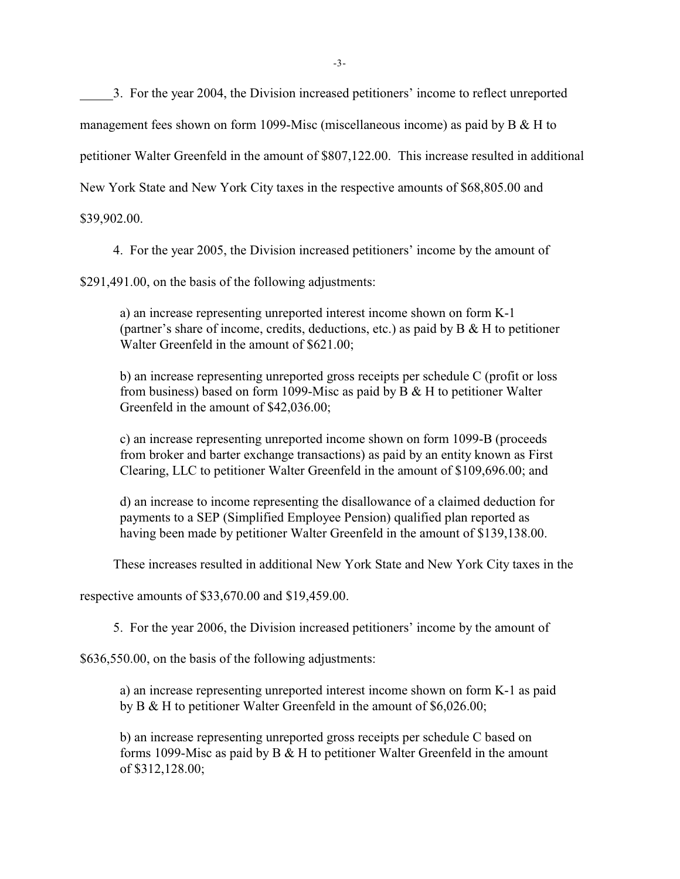3. For the year 2004, the Division increased petitioners' income to reflect unreported

management fees shown on form 1099-Misc (miscellaneous income) as paid by B & H to

petitioner Walter Greenfeld in the amount of \$807,122.00. This increase resulted in additional

New York State and New York City taxes in the respective amounts of \$68,805.00 and

\$39,902.00.

4. For the year 2005, the Division increased petitioners' income by the amount of

\$291,491.00, on the basis of the following adjustments:

a) an increase representing unreported interest income shown on form K-1 (partner's share of income, credits, deductions, etc.) as paid by B & H to petitioner Walter Greenfeld in the amount of \$621.00;

b) an increase representing unreported gross receipts per schedule C (profit or loss from business) based on form 1099-Misc as paid by  $B \& H$  to petitioner Walter Greenfeld in the amount of \$42,036.00;

c) an increase representing unreported income shown on form 1099-B (proceeds from broker and barter exchange transactions) as paid by an entity known as First Clearing, LLC to petitioner Walter Greenfeld in the amount of \$109,696.00; and

d) an increase to income representing the disallowance of a claimed deduction for payments to a SEP (Simplified Employee Pension) qualified plan reported as having been made by petitioner Walter Greenfeld in the amount of \$139,138.00.

These increases resulted in additional New York State and New York City taxes in the

respective amounts of \$33,670.00 and \$19,459.00.

5. For the year 2006, the Division increased petitioners' income by the amount of

\$636,550.00, on the basis of the following adjustments:

a) an increase representing unreported interest income shown on form K-1 as paid by B & H to petitioner Walter Greenfeld in the amount of \$6,026.00;

b) an increase representing unreported gross receipts per schedule C based on forms 1099-Misc as paid by  $B \& H$  to petitioner Walter Greenfeld in the amount of \$312,128.00;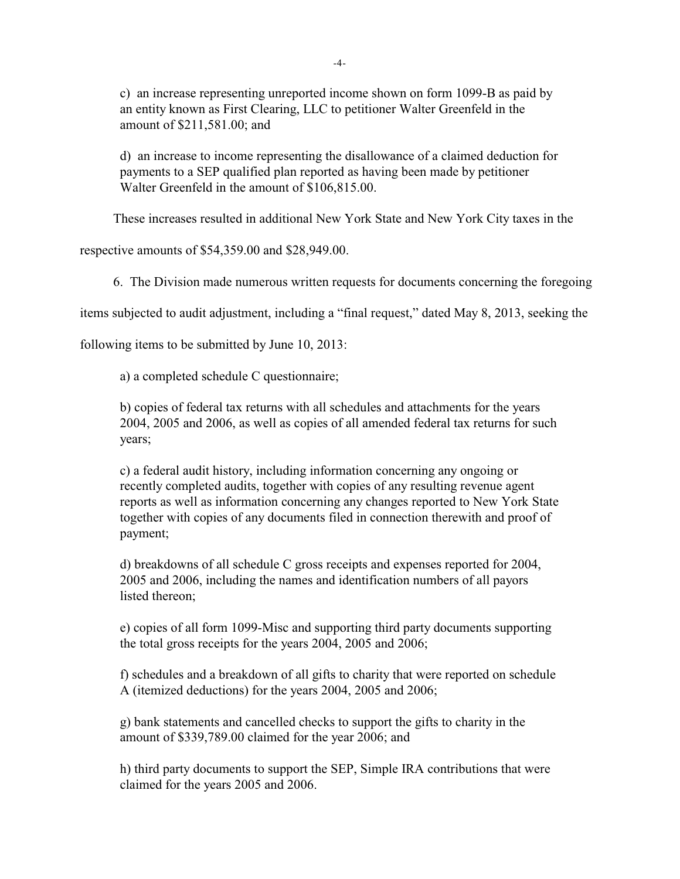c) an increase representing unreported income shown on form 1099-B as paid by an entity known as First Clearing, LLC to petitioner Walter Greenfeld in the amount of \$211,581.00; and

d) an increase to income representing the disallowance of a claimed deduction for payments to a SEP qualified plan reported as having been made by petitioner Walter Greenfeld in the amount of \$106,815.00.

These increases resulted in additional New York State and New York City taxes in the

respective amounts of \$54,359.00 and \$28,949.00.

6. The Division made numerous written requests for documents concerning the foregoing

items subjected to audit adjustment, including a "final request," dated May 8, 2013, seeking the

following items to be submitted by June 10, 2013:

a) a completed schedule C questionnaire;

b) copies of federal tax returns with all schedules and attachments for the years 2004, 2005 and 2006, as well as copies of all amended federal tax returns for such years;

c) a federal audit history, including information concerning any ongoing or recently completed audits, together with copies of any resulting revenue agent reports as well as information concerning any changes reported to New York State together with copies of any documents filed in connection therewith and proof of payment;

d) breakdowns of all schedule C gross receipts and expenses reported for 2004, 2005 and 2006, including the names and identification numbers of all payors listed thereon;

e) copies of all form 1099-Misc and supporting third party documents supporting the total gross receipts for the years 2004, 2005 and 2006;

f) schedules and a breakdown of all gifts to charity that were reported on schedule A (itemized deductions) for the years 2004, 2005 and 2006;

g) bank statements and cancelled checks to support the gifts to charity in the amount of \$339,789.00 claimed for the year 2006; and

h) third party documents to support the SEP, Simple IRA contributions that were claimed for the years 2005 and 2006.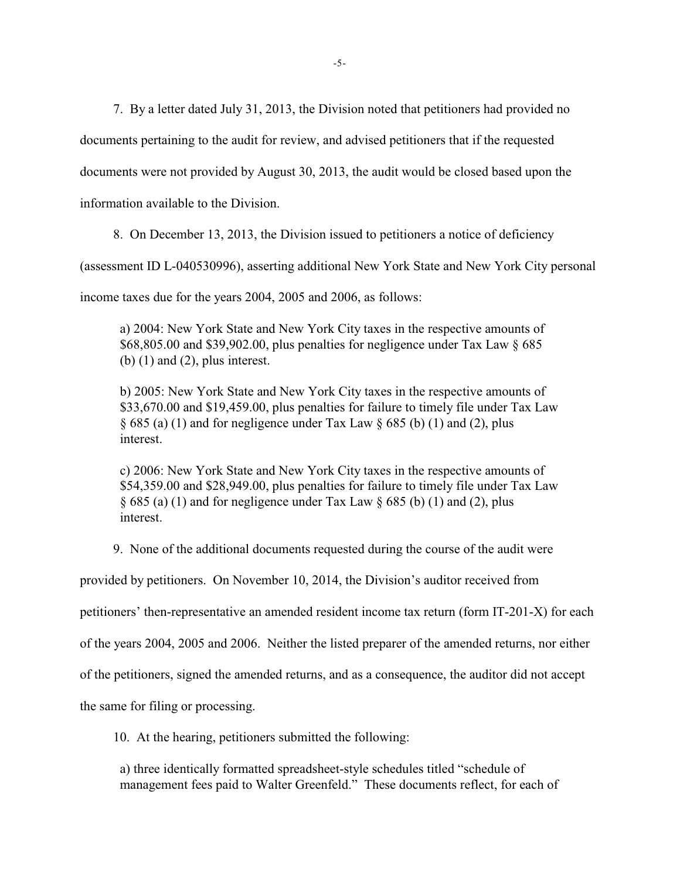7. By a letter dated July 31, 2013, the Division noted that petitioners had provided no

documents pertaining to the audit for review, and advised petitioners that if the requested

documents were not provided by August 30, 2013, the audit would be closed based upon the

information available to the Division.

8. On December 13, 2013, the Division issued to petitioners a notice of deficiency

(assessment ID L-040530996), asserting additional New York State and New York City personal

income taxes due for the years 2004, 2005 and 2006, as follows:

a) 2004: New York State and New York City taxes in the respective amounts of \$68,805.00 and \$39,902.00, plus penalties for negligence under Tax Law § 685 (b)  $(1)$  and  $(2)$ , plus interest.

b) 2005: New York State and New York City taxes in the respective amounts of \$33,670.00 and \$19,459.00, plus penalties for failure to timely file under Tax Law  $\S 685$  (a) (1) and for negligence under Tax Law  $\S 685$  (b) (1) and (2), plus interest.

c) 2006: New York State and New York City taxes in the respective amounts of \$54,359.00 and \$28,949.00, plus penalties for failure to timely file under Tax Law  $\S 685$  (a) (1) and for negligence under Tax Law  $\S 685$  (b) (1) and (2), plus interest.

9. None of the additional documents requested during the course of the audit were

provided by petitioners. On November 10, 2014, the Division's auditor received from

petitioners' then-representative an amended resident income tax return (form IT-201-X) for each

of the years 2004, 2005 and 2006. Neither the listed preparer of the amended returns, nor either

of the petitioners, signed the amended returns, and as a consequence, the auditor did not accept

the same for filing or processing.

10. At the hearing, petitioners submitted the following:

a) three identically formatted spreadsheet-style schedules titled "schedule of management fees paid to Walter Greenfeld." These documents reflect, for each of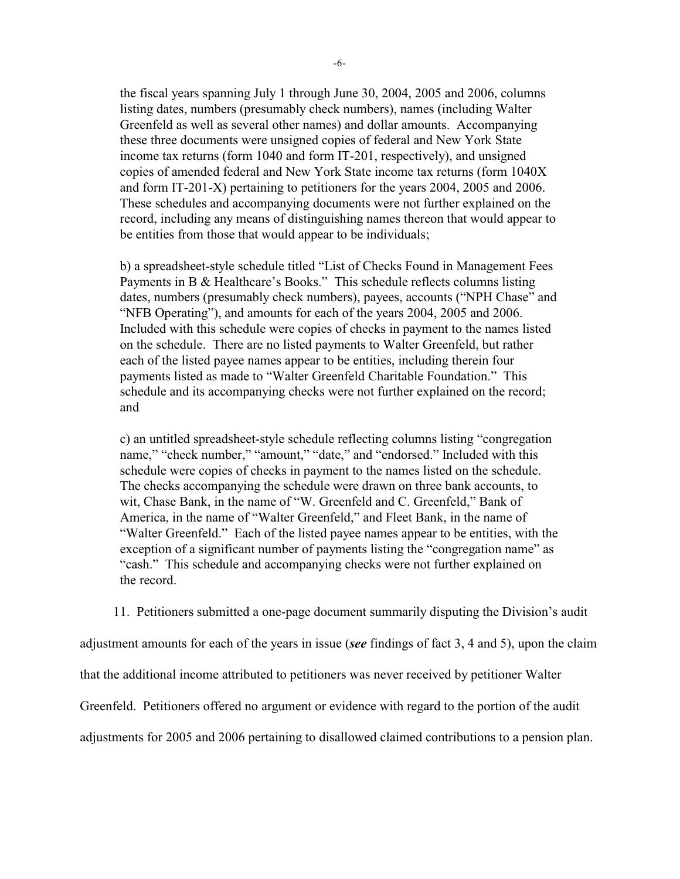the fiscal years spanning July 1 through June 30, 2004, 2005 and 2006, columns listing dates, numbers (presumably check numbers), names (including Walter Greenfeld as well as several other names) and dollar amounts. Accompanying these three documents were unsigned copies of federal and New York State income tax returns (form 1040 and form IT-201, respectively), and unsigned copies of amended federal and New York State income tax returns (form 1040X and form IT-201-X) pertaining to petitioners for the years 2004, 2005 and 2006. These schedules and accompanying documents were not further explained on the record, including any means of distinguishing names thereon that would appear to be entities from those that would appear to be individuals;

b) a spreadsheet-style schedule titled "List of Checks Found in Management Fees Payments in B & Healthcare's Books." This schedule reflects columns listing dates, numbers (presumably check numbers), payees, accounts ("NPH Chase" and "NFB Operating"), and amounts for each of the years 2004, 2005 and 2006. Included with this schedule were copies of checks in payment to the names listed on the schedule. There are no listed payments to Walter Greenfeld, but rather each of the listed payee names appear to be entities, including therein four payments listed as made to "Walter Greenfeld Charitable Foundation." This schedule and its accompanying checks were not further explained on the record; and

c) an untitled spreadsheet-style schedule reflecting columns listing "congregation name," "check number," "amount," "date," and "endorsed." Included with this schedule were copies of checks in payment to the names listed on the schedule. The checks accompanying the schedule were drawn on three bank accounts, to wit, Chase Bank, in the name of "W. Greenfeld and C. Greenfeld," Bank of America, in the name of "Walter Greenfeld," and Fleet Bank, in the name of "Walter Greenfeld." Each of the listed payee names appear to be entities, with the exception of a significant number of payments listing the "congregation name" as "cash." This schedule and accompanying checks were not further explained on the record.

11. Petitioners submitted a one-page document summarily disputing the Division's audit

adjustment amounts for each of the years in issue (*see* findings of fact 3, 4 and 5), upon the claim that the additional income attributed to petitioners was never received by petitioner Walter Greenfeld. Petitioners offered no argument or evidence with regard to the portion of the audit adjustments for 2005 and 2006 pertaining to disallowed claimed contributions to a pension plan.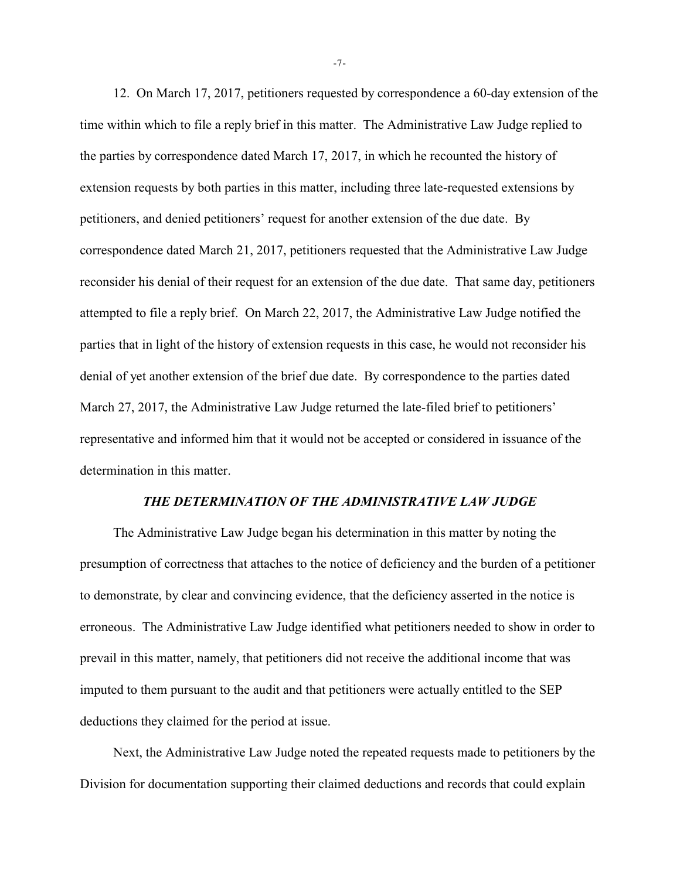12. On March 17, 2017, petitioners requested by correspondence a 60-day extension of the time within which to file a reply brief in this matter. The Administrative Law Judge replied to the parties by correspondence dated March 17, 2017, in which he recounted the history of extension requests by both parties in this matter, including three late-requested extensions by petitioners, and denied petitioners' request for another extension of the due date. By correspondence dated March 21, 2017, petitioners requested that the Administrative Law Judge reconsider his denial of their request for an extension of the due date. That same day, petitioners attempted to file a reply brief. On March 22, 2017, the Administrative Law Judge notified the parties that in light of the history of extension requests in this case, he would not reconsider his denial of yet another extension of the brief due date. By correspondence to the parties dated March 27, 2017, the Administrative Law Judge returned the late-filed brief to petitioners' representative and informed him that it would not be accepted or considered in issuance of the determination in this matter.

### *THE DETERMINATION OF THE ADMINISTRATIVE LAW JUDGE*

The Administrative Law Judge began his determination in this matter by noting the presumption of correctness that attaches to the notice of deficiency and the burden of a petitioner to demonstrate, by clear and convincing evidence, that the deficiency asserted in the notice is erroneous. The Administrative Law Judge identified what petitioners needed to show in order to prevail in this matter, namely, that petitioners did not receive the additional income that was imputed to them pursuant to the audit and that petitioners were actually entitled to the SEP deductions they claimed for the period at issue.

Next, the Administrative Law Judge noted the repeated requests made to petitioners by the Division for documentation supporting their claimed deductions and records that could explain

-7-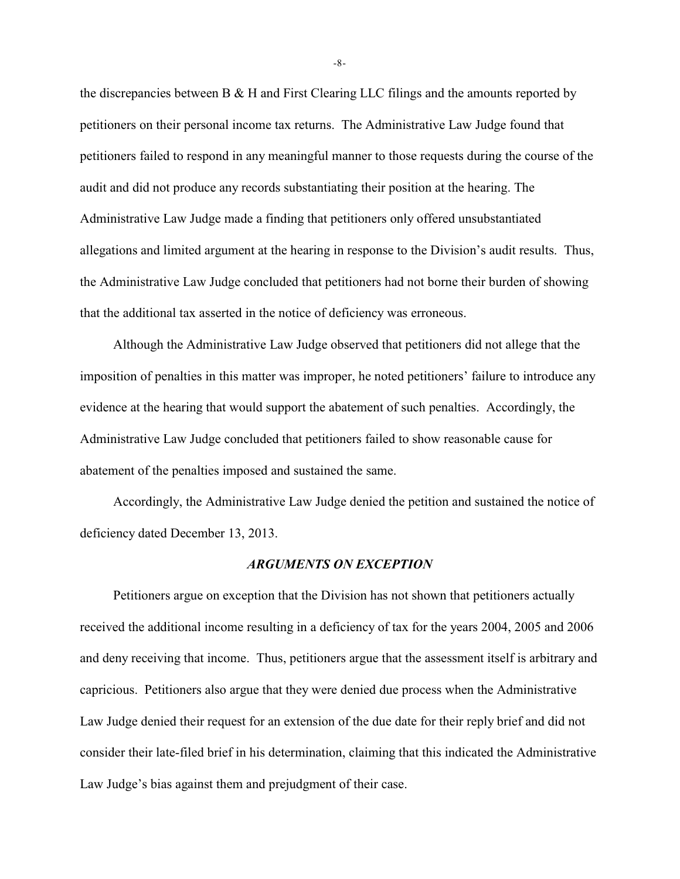the discrepancies between B & H and First Clearing LLC filings and the amounts reported by petitioners on their personal income tax returns. The Administrative Law Judge found that petitioners failed to respond in any meaningful manner to those requests during the course of the audit and did not produce any records substantiating their position at the hearing. The Administrative Law Judge made a finding that petitioners only offered unsubstantiated allegations and limited argument at the hearing in response to the Division's audit results. Thus, the Administrative Law Judge concluded that petitioners had not borne their burden of showing that the additional tax asserted in the notice of deficiency was erroneous.

Although the Administrative Law Judge observed that petitioners did not allege that the imposition of penalties in this matter was improper, he noted petitioners' failure to introduce any evidence at the hearing that would support the abatement of such penalties. Accordingly, the Administrative Law Judge concluded that petitioners failed to show reasonable cause for abatement of the penalties imposed and sustained the same.

Accordingly, the Administrative Law Judge denied the petition and sustained the notice of deficiency dated December 13, 2013.

### *ARGUMENTS ON EXCEPTION*

Petitioners argue on exception that the Division has not shown that petitioners actually received the additional income resulting in a deficiency of tax for the years 2004, 2005 and 2006 and deny receiving that income. Thus, petitioners argue that the assessment itself is arbitrary and capricious. Petitioners also argue that they were denied due process when the Administrative Law Judge denied their request for an extension of the due date for their reply brief and did not consider their late-filed brief in his determination, claiming that this indicated the Administrative Law Judge's bias against them and prejudgment of their case.

-8-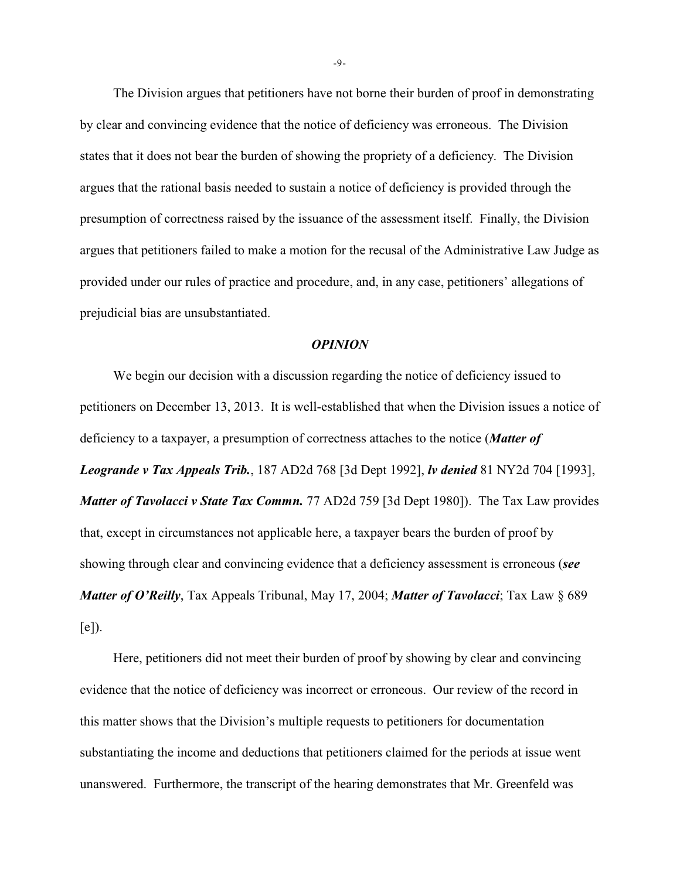The Division argues that petitioners have not borne their burden of proof in demonstrating by clear and convincing evidence that the notice of deficiency was erroneous. The Division states that it does not bear the burden of showing the propriety of a deficiency. The Division argues that the rational basis needed to sustain a notice of deficiency is provided through the presumption of correctness raised by the issuance of the assessment itself. Finally, the Division argues that petitioners failed to make a motion for the recusal of the Administrative Law Judge as provided under our rules of practice and procedure, and, in any case, petitioners' allegations of prejudicial bias are unsubstantiated.

#### *OPINION*

We begin our decision with a discussion regarding the notice of deficiency issued to petitioners on December 13, 2013. It is well-established that when the Division issues a notice of deficiency to a taxpayer, a presumption of correctness attaches to the notice (*Matter of Leogrande v Tax Appeals Trib.*, 187 AD2d 768 [3d Dept 1992], *lv denied* 81 NY2d 704 [1993], *Matter of Tavolacci v State Tax Commn.* 77 AD2d 759 [3d Dept 1980]). The Tax Law provides that, except in circumstances not applicable here, a taxpayer bears the burden of proof by showing through clear and convincing evidence that a deficiency assessment is erroneous (*see Matter of O'Reilly*, Tax Appeals Tribunal, May 17, 2004; *Matter of Tavolacci*; Tax Law § 689  $[e]$ ).

Here, petitioners did not meet their burden of proof by showing by clear and convincing evidence that the notice of deficiency was incorrect or erroneous. Our review of the record in this matter shows that the Division's multiple requests to petitioners for documentation substantiating the income and deductions that petitioners claimed for the periods at issue went unanswered. Furthermore, the transcript of the hearing demonstrates that Mr. Greenfeld was

-9-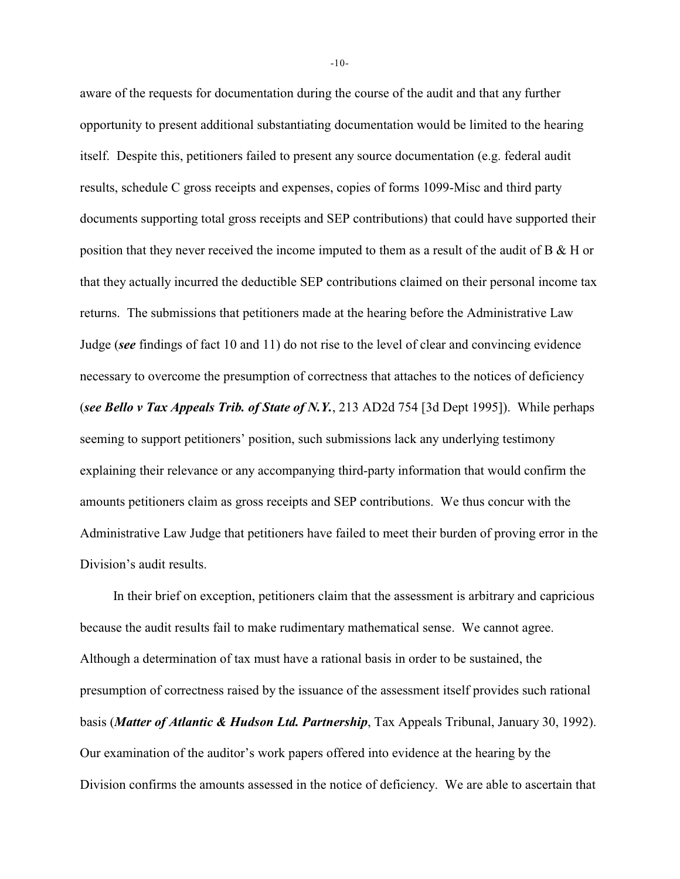aware of the requests for documentation during the course of the audit and that any further opportunity to present additional substantiating documentation would be limited to the hearing itself. Despite this, petitioners failed to present any source documentation (e.g. federal audit results, schedule C gross receipts and expenses, copies of forms 1099-Misc and third party documents supporting total gross receipts and SEP contributions) that could have supported their position that they never received the income imputed to them as a result of the audit of B & H or that they actually incurred the deductible SEP contributions claimed on their personal income tax returns. The submissions that petitioners made at the hearing before the Administrative Law Judge (*see* findings of fact 10 and 11) do not rise to the level of clear and convincing evidence necessary to overcome the presumption of correctness that attaches to the notices of deficiency (*see Bello v Tax Appeals Trib. of State of N.Y.*, 213 AD2d 754 [3d Dept 1995]). While perhaps seeming to support petitioners' position, such submissions lack any underlying testimony explaining their relevance or any accompanying third-party information that would confirm the amounts petitioners claim as gross receipts and SEP contributions. We thus concur with the Administrative Law Judge that petitioners have failed to meet their burden of proving error in the Division's audit results.

In their brief on exception, petitioners claim that the assessment is arbitrary and capricious because the audit results fail to make rudimentary mathematical sense. We cannot agree. Although a determination of tax must have a rational basis in order to be sustained, the presumption of correctness raised by the issuance of the assessment itself provides such rational basis (*Matter of Atlantic & Hudson Ltd. Partnership*, Tax Appeals Tribunal, January 30, 1992). Our examination of the auditor's work papers offered into evidence at the hearing by the Division confirms the amounts assessed in the notice of deficiency. We are able to ascertain that

-10-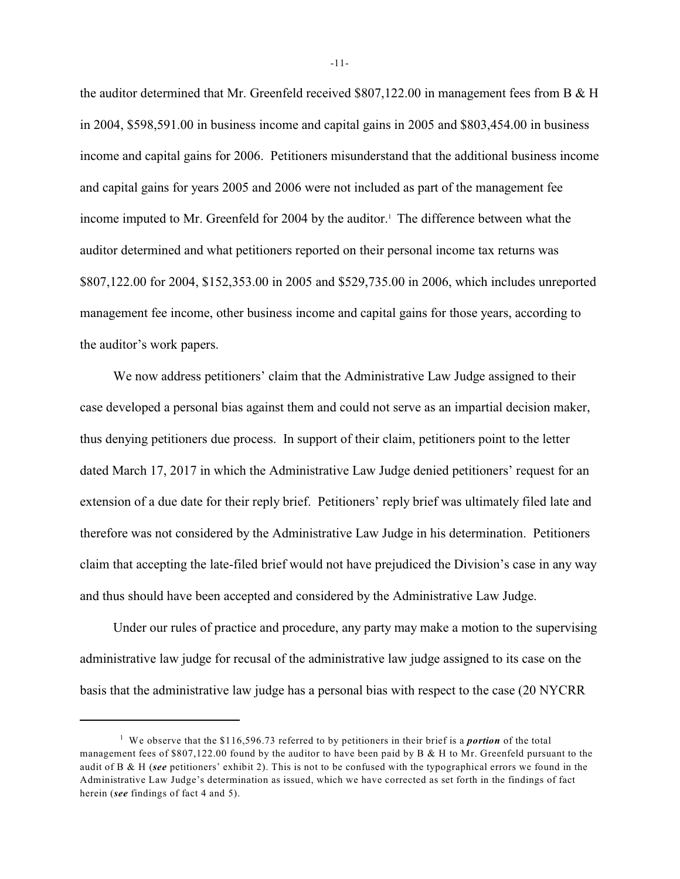the auditor determined that Mr. Greenfeld received \$807,122.00 in management fees from B & H in 2004, \$598,591.00 in business income and capital gains in 2005 and \$803,454.00 in business income and capital gains for 2006. Petitioners misunderstand that the additional business income and capital gains for years 2005 and 2006 were not included as part of the management fee income imputed to Mr. Greenfeld for 2004 by the auditor.<sup>1</sup> The difference between what the auditor determined and what petitioners reported on their personal income tax returns was \$807,122.00 for 2004, \$152,353.00 in 2005 and \$529,735.00 in 2006, which includes unreported management fee income, other business income and capital gains for those years, according to the auditor's work papers.

We now address petitioners' claim that the Administrative Law Judge assigned to their case developed a personal bias against them and could not serve as an impartial decision maker, thus denying petitioners due process. In support of their claim, petitioners point to the letter dated March 17, 2017 in which the Administrative Law Judge denied petitioners' request for an extension of a due date for their reply brief. Petitioners' reply brief was ultimately filed late and therefore was not considered by the Administrative Law Judge in his determination. Petitioners claim that accepting the late-filed brief would not have prejudiced the Division's case in any way and thus should have been accepted and considered by the Administrative Law Judge.

Under our rules of practice and procedure, any party may make a motion to the supervising administrative law judge for recusal of the administrative law judge assigned to its case on the basis that the administrative law judge has a personal bias with respect to the case (20 NYCRR

-11-

<sup>&</sup>lt;sup>1</sup> We observe that the \$116,596.73 referred to by petitioners in their brief is a *portion* of the total management fees of \$807,122.00 found by the auditor to have been paid by B & H to Mr. Greenfeld pursuant to the audit of B & H (*see* petitioners' exhibit 2). This is not to be confused with the typographical errors we found in the Administrative Law Judge's determination as issued, which we have corrected as set forth in the findings of fact herein (*see* findings of fact 4 and 5).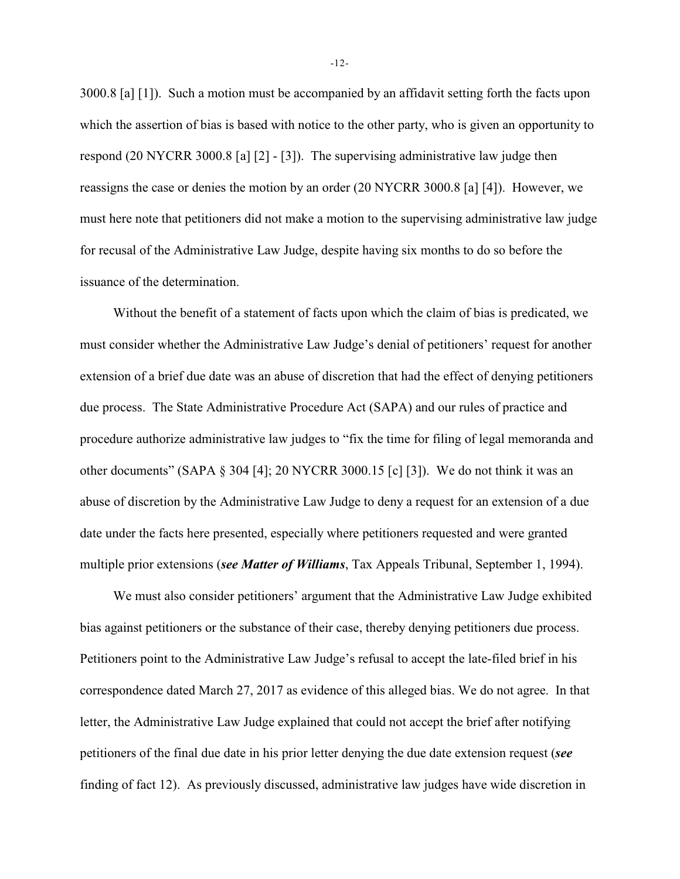3000.8 [a] [1]). Such a motion must be accompanied by an affidavit setting forth the facts upon which the assertion of bias is based with notice to the other party, who is given an opportunity to respond (20 NYCRR 3000.8 [a] [2] - [3]). The supervising administrative law judge then reassigns the case or denies the motion by an order (20 NYCRR 3000.8 [a] [4]). However, we must here note that petitioners did not make a motion to the supervising administrative law judge for recusal of the Administrative Law Judge, despite having six months to do so before the issuance of the determination.

Without the benefit of a statement of facts upon which the claim of bias is predicated, we must consider whether the Administrative Law Judge's denial of petitioners' request for another extension of a brief due date was an abuse of discretion that had the effect of denying petitioners due process. The State Administrative Procedure Act (SAPA) and our rules of practice and procedure authorize administrative law judges to "fix the time for filing of legal memoranda and other documents" (SAPA § 304 [4]; 20 NYCRR 3000.15 [c] [3]). We do not think it was an abuse of discretion by the Administrative Law Judge to deny a request for an extension of a due date under the facts here presented, especially where petitioners requested and were granted multiple prior extensions (*see Matter of Williams*, Tax Appeals Tribunal, September 1, 1994).

We must also consider petitioners' argument that the Administrative Law Judge exhibited bias against petitioners or the substance of their case, thereby denying petitioners due process. Petitioners point to the Administrative Law Judge's refusal to accept the late-filed brief in his correspondence dated March 27, 2017 as evidence of this alleged bias. We do not agree. In that letter, the Administrative Law Judge explained that could not accept the brief after notifying petitioners of the final due date in his prior letter denying the due date extension request (*see* finding of fact 12). As previously discussed, administrative law judges have wide discretion in

-12-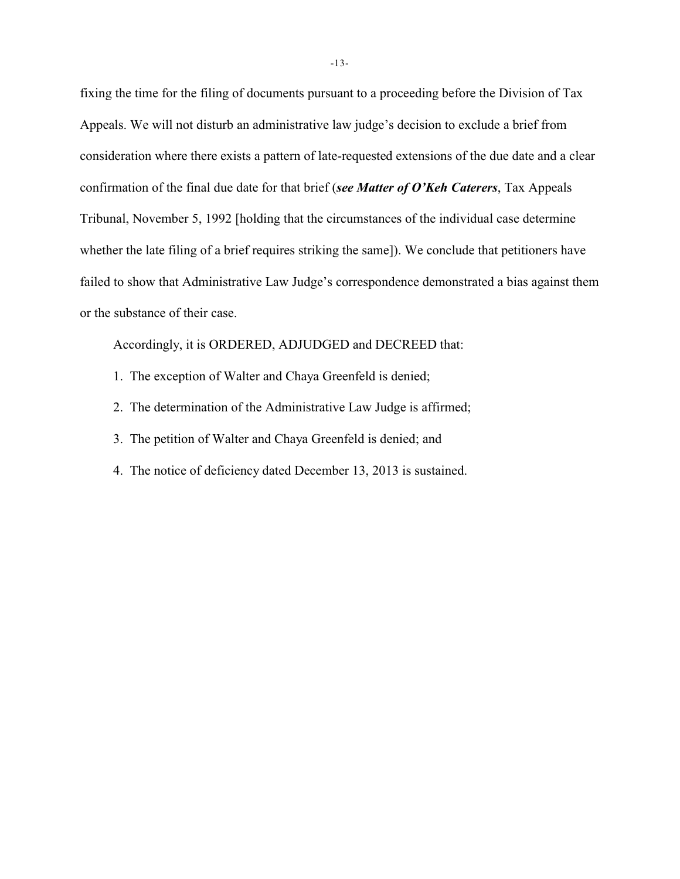fixing the time for the filing of documents pursuant to a proceeding before the Division of Tax Appeals. We will not disturb an administrative law judge's decision to exclude a brief from consideration where there exists a pattern of late-requested extensions of the due date and a clear confirmation of the final due date for that brief (*see Matter of O'Keh Caterers*, Tax Appeals Tribunal, November 5, 1992 [holding that the circumstances of the individual case determine whether the late filing of a brief requires striking the same]). We conclude that petitioners have failed to show that Administrative Law Judge's correspondence demonstrated a bias against them or the substance of their case.

Accordingly, it is ORDERED, ADJUDGED and DECREED that:

- 1. The exception of Walter and Chaya Greenfeld is denied;
- 2. The determination of the Administrative Law Judge is affirmed;
- 3. The petition of Walter and Chaya Greenfeld is denied; and
- 4. The notice of deficiency dated December 13, 2013 is sustained.